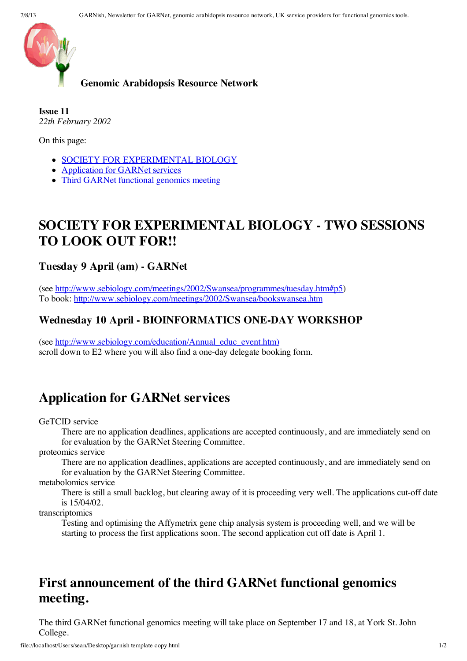

#### **Genomic Arabidopsis Resource Network**

**Issue 11** *22th February 2002*

On this page:

- **SOCIETY FOR [EXPERIMENTAL](file://localhost/web/20030426042312/http://www.york.ac.uk/res/garnet/GARNish02-02.htm#seb) BIOLOGY**
- [Application](file://localhost/web/20030426042312/http://www.york.ac.uk/res/garnet/GARNish02-02.htm#apply) for GARNet services
- Third GARNet [functional](file://localhost/web/20030426042312/http://www.york.ac.uk/res/garnet/GARNish02-02.htm#meeting3) genomics meeting

## **SOCIETY FOR EXPERIMENTAL BIOLOGY - TWO SESSIONS TO LOOK OUT FOR!!**

### **Tuesday 9 April (am) - GARNet**

(see [http://www.sebiology.com/meetings/2002/Swansea/programmes/tuesday.htm#p5\)](file://localhost/web/20030426042312/http://www.sebiology.com/meetings/2002/Swansea/programmes/tuesday.htm#p5) To book: [http://www.sebiology.com/meetings/2002/Swansea/bookswansea.htm](file://localhost/web/20030426042312/http://www.sebiology.com/meetings/2002/Swansea/bookswansea.htm)

### **Wednesday 10 April - BIOINFORMATICS ONE-DAY WORKSHOP**

(see [http://www.sebiology.com/education/Annual\\_educ\\_event.htm\)](file://localhost/web/20030426042312/http://www.sebiology.com/education/Annual_educ_event.htm) scroll down to E2 where you will also find a one-day delegate booking form.

## **Application for GARNet services**

GeTCID service

There are no application deadlines, applications are accepted continuously, and are immediately send on for evaluation by the GARNet Steering Committee.

proteomics service

There are no application deadlines, applications are accepted continuously, and are immediately send on for evaluation by the GARNet Steering Committee.

metabolomics service

There is still a small backlog, but clearing away of it is proceeding very well. The applications cut-off date is 15/04/02.

transcriptomics

Testing and optimising the Affymetrix gene chip analysis system is proceeding well, and we will be starting to process the first applications soon. The second application cut off date is April 1.

# **First announcement of the third GARNet functional genomics meeting.**

The third GARNet functional genomics meeting will take place on September 17 and 18, at York St. John College.